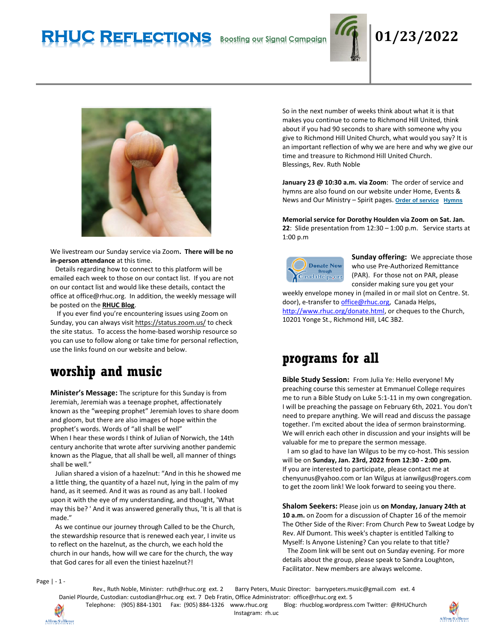# **RHUC Reflections Boosting our Signal Campaign 01/23/2022**





We livestream our Sunday service via Zoom**. There will be no in-person attendance** at this time.

 Details regarding how to connect to this platform will be emailed each week to those on our contact list. If you are not on our contact list and would like these details, contact the office at office@rhuc.org. In addition, the weekly message will be posted on the **[RHUC Blog](https://rhucblog.wordpress.com/)**.

 If you ever find you're encountering issues using Zoom on Sunday, you can always visi[t https://status.zoom.us/](https://status.zoom.us/) to check the site status. To access the home-based worship resource so you can use to follow along or take time for personal reflection, use the links found on our website and below.

# **worship and music**

**Minister's Message:** The scripture for this Sunday is from Jeremiah, Jeremiah was a teenage prophet, affectionately known as the "weeping prophet" Jeremiah loves to share doom and gloom, but there are also images of hope within the prophet's words. Words of "all shall be well" When I hear these words I think of Julian of Norwich, the 14th century anchorite that wrote after surviving another pandemic known as the Plague, that all shall be well, all manner of things shall be well."

 Julian shared a vision of a hazelnut: "And in this he showed me a little thing, the quantity of a hazel nut, lying in the palm of my hand, as it seemed. And it was as round as any ball. I looked upon it with the eye of my understanding, and thought, 'What may this be? ' And it was answered generally thus, 'It is all that is made."

 As we continue our journey through Called to be the Church, the stewardship resource that is renewed each year, I invite us to reflect on the hazelnut, as the church, we each hold the church in our hands, how will we care for the church, the way that God cares for all even the tiniest hazelnut?!

So in the next number of weeks think about what it is that makes you continue to come to Richmond Hill United, think about if you had 90 seconds to share with someone why you give to Richmond Hill United Church, what would you say? It is an important reflection of why we are here and why we give our time and treasure to Richmond Hill United Church. Blessings, Rev. Ruth Noble

**January 23 @ 10:30 a.m. via Zoom**: The order of service and hymns are also found on our website under Home, Events & News and Our Ministry – Spirit pages. **Order of [service](http://rhuc.org/January%2023%202022.pdf) [Hymns](http://rhuc.org/Hymns%20for%202022%2001%2023.pdf)**

**Memorial service for Dorothy Houlden via Zoom on Sat. Jan. 22**: Slide presentation from 12:30 – 1:00 p.m. Service starts at 1:00 p.m



**Sunday offering:** We appreciate those who use Pre-Authorized Remittance (PAR). For those not on PAR, please consider making sure you get your

weekly envelope money in (mailed in or mail slot on Centre. St. door), e-transfer to *office@rhuc.org*, Canada Helps, [http://www.rhuc.org/donate.html,](http://www.rhuc.org/donate.html) or cheques to the Church, 10201 Yonge St., Richmond Hill, L4C 3B2.

# **programs for all**

**Bible Study Session:** From Julia Ye: Hello everyone! My preaching course this semester at Emmanuel College requires me to run a Bible Study on Luke 5:1-11 in my own congregation. I will be preaching the passage on February 6th, 2021. You don't need to prepare anything. We will read and discuss the passage together. I'm excited about the idea of sermon brainstorming. We will enrich each other in discussion and your insights will be valuable for me to prepare the sermon message.

 I am so glad to have Ian Wilgus to be my co-host. This session will be on **Sunday, Jan. 23rd, 2022 from 12:30 - 2:00 pm.** If you are interested to participate, please contact me at chenyunus@yahoo.com or Ian Wilgus at ianwilgus@rogers.com to get the zoom link! We look forward to seeing you there.

**Shalom Seekers:** Please join us **on Monday, January 24th at 10 a.m.** on Zoom for a discussion of Chapter 16 of the memoir The Other Side of the River: From Church Pew to Sweat Lodge by Rev. Alf Dumont. This week's chapter is entitled Talking to Myself: Is Anyone Listening? Can you relate to that title?

 The Zoom link will be sent out on Sunday evening. For more details about the group, please speak to Sandra Loughton, Facilitator. New members are always welcome.

Page | - 1 -

Rev., Ruth Noble, Minister: [ruth@rhuc.org](mailto:ruth@rhuc.org) ext. 2 Barry Peters, Music Director: barrypeters.music@gmail.com ext. 4 Daniel Plourde, Custodian: [custodian@rhuc.org](mailto:custodian@rhuc.org) ext. 7 Deb Fratin, Office Administrator: [office@rhuc.org](mailto:office@rhuc.org) ext. 5

Telephone: (905) 884-1301 Fax: (905) 884-1326 [www.rhuc.org](http://www.rhuc.org/) Blog: rhucblog.wordpress.com Twitter: @RHUChurch



Affirm/Saffirmer

Instagram: rh.uc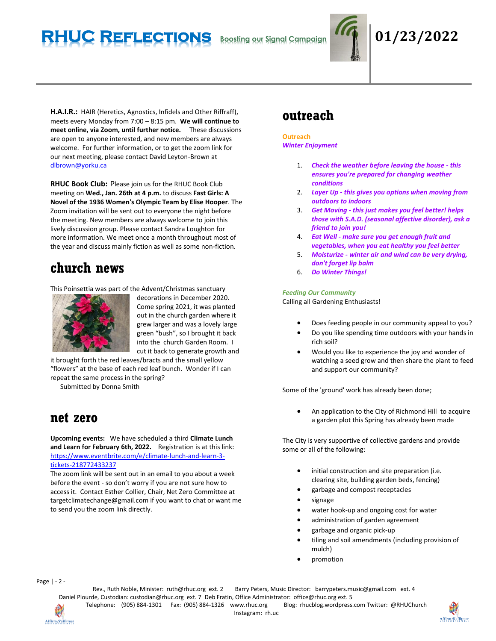# **RHUC Reflections Boosting our Signal Campaign 01/23/2022**



**H.A.I.R.:** HAIR (Heretics, Agnostics, Infidels and Other Riffraff), meets every Monday from 7:00 – 8:15 pm. **We will continue to meet online, via Zoom, until further notice.** These discussions are open to anyone interested, and new members are always welcome. For further information, or to get the zoom link for our next meeting, please contact David Leyton-Brown at [dlbrown@yorku.ca](mailto:dlbrown@yorku.ca)

**RHUC Book Club:** Please join us for the RHUC Book Club meeting on **Wed., Jan. 26th at 4 p.m.** to discuss **Fast Girls: A Novel of the 1936 Women's Olympic Team by Elise Hooper**. The Zoom invitation will be sent out to everyone the night before the meeting. New members are always welcome to join this lively discussion group. Please contact Sandra Loughton for more information. We meet once a month throughout most of the year and discuss mainly fiction as well as some non-fiction.

## **church news**

This Poinsettia was part of the Advent/Christmas sanctuary



decorations in December 2020. Come spring 2021, it was planted out in the church garden where it grew larger and was a lovely large green "bush", so I brought it back into the church Garden Room. I cut it back to generate growth and

it brought forth the red leaves/bracts and the small yellow "flowers" at the base of each red leaf bunch. Wonder if I can repeat the same process in the spring?

Submitted by Donna Smith

## **net zero**

**Upcoming events:** We have scheduled a third **Climate Lunch and Learn for February 6th, 2022.** Registration is at this link: [https://www.eventbrite.com/e/climate-lunch-and-learn-3](https://www.eventbrite.com/e/climate-lunch-and-learn-3-tickets-218772433237) [tickets-218772433237](https://www.eventbrite.com/e/climate-lunch-and-learn-3-tickets-218772433237)

The zoom link will be sent out in an email to you about a week before the event - so don't worry if you are not sure how to access it. Contact Esther Collier, Chair, Net Zero Committee at targetclimatechange@gmail.com if you want to chat or want me to send you the zoom link directly.

## **outreach**

#### **Outreach** *Winter Enjoyment*

- 1. *Check the weather before leaving the house - this ensures you're prepared for changing weather conditions*
- 2. *Layer Up - this gives you options when moving from outdoors to indoors*
- 3. *Get Moving - this just makes you feel better! helps those with S.A.D. (seasonal affective disorder), ask a friend to join you!*
- 4. *Eat Well - make sure you get enough fruit and vegetables, when you eat healthy you feel better*
- 5. *Moisturize - winter air and wind can be very drying, don't forget lip balm*
- 6. *Do Winter Things!*

### *Feeding Our Community*

Calling all Gardening Enthusiasts!

- Does feeding people in our community appeal to you?
- Do you like spending time outdoors with your hands in rich soil?
- Would you like to experience the joy and wonder of watching a seed grow and then share the plant to feed and support our community?

Some of the 'ground' work has already been done;

• An application to the City of Richmond Hill to acquire a garden plot this Spring has already been made

The City is very supportive of collective gardens and provide some or all of the following:

- initial construction and site preparation (i.e. clearing site, building garden beds, fencing)
- garbage and compost receptacles
- signage
- water hook-up and ongoing cost for water
- administration of garden agreement
- garbage and organic pick-up
- tiling and soil amendments (including provision of mulch)
- promotion

Page | - 2 -

Rev., Ruth Noble, Minister: [ruth@rhuc.org](mailto:ruth@rhuc.org) ext. 2 Barry Peters, Music Director: barrypeters.music@gmail.com ext. 4 Daniel Plourde, Custodian: [custodian@rhuc.org](mailto:custodian@rhuc.org) ext. 7 Deb Fratin, Office Administrator: [office@rhuc.org](mailto:office@rhuc.org) ext. 5 Telephone: (905) 884-1301 Fax: (905) 884-1326 [www.rhuc.org](http://www.rhuc.org/) Blog: rhucblog.wordpress.com Twitter: @RHUChurch